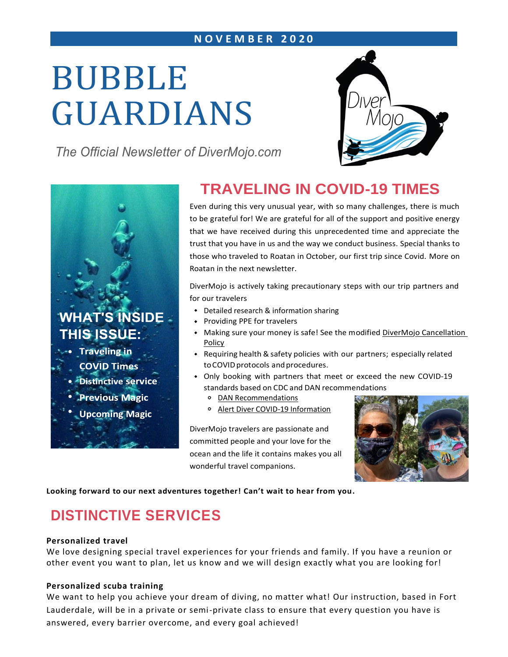### **N O V E M B E R 2 0 2 0**

# BUBBLE GUARDIANS

*The Official Newsletter of DiverMojo.com*





# **TRAVELING IN COVID-19 TIMES**

Even during this very unusual year, with so many challenges, there is much to be grateful for! We are grateful for all of the support and positive energy that we have received during this unprecedented time and appreciate the trust that you have in us and the way we conduct business. Special thanks to those who traveled to Roatan in October, our first trip since Covid. More on Roatan in the next newsletter.

DiverMojo is actively taking precautionary steps with our trip partners and for our travelers

- Detailed research & information sharing
- Providing PPE for travelers
- Making sure your money is safe! See the modified DiverMojo Cancellation [Policy](https://www.divermojo.com/cancellation-policy)
- Requiring health &safety policies with our partners; especially related to COVID protocols and procedures.
- Only booking with partners that meet or exceed the new COVID-19 standards based on CDC and DAN recommendations
	- [DAN Recommendations](https://www.daneurope.org/readarticle?p_p_id=web_content_reading&p_p_lifecycle=0&p_p_mode=view&p_p_col_id=column-1&p_p_col_count=1&p_r_p_-1523133153_groupId=10103&p_r_p_-1523133153_articleId=14128801&p_r_p_-1523133153_articleVersion=1.0&p_r_p_-1523133153_articleType=General)
	- [Alert Diver COVID-19 Information](https://www.diversalertnetwork.org/covid-19/)

DiverMojo travelers are passionate and committed people and your love for the ocean and the life it contains makes you all wonderful travel companions.



**Looking forward to our next adventures together! Can't wait to hear from you.**

# **DISTINCTIVE SERVICES**

### **Personalized travel**

We love designing special travel experiences for your friends and family. If you have a reunion or other event you want to plan, let us know and we will design exactly what you are looking for!

### **Personalized scuba training**

We want to help you achieve your dream of diving, no matter what! Our instruction, based in Fort Lauderdale, will be in a private or semi-private class to ensure that every question you have is answered, every barrier overcome, and every goal achieved!